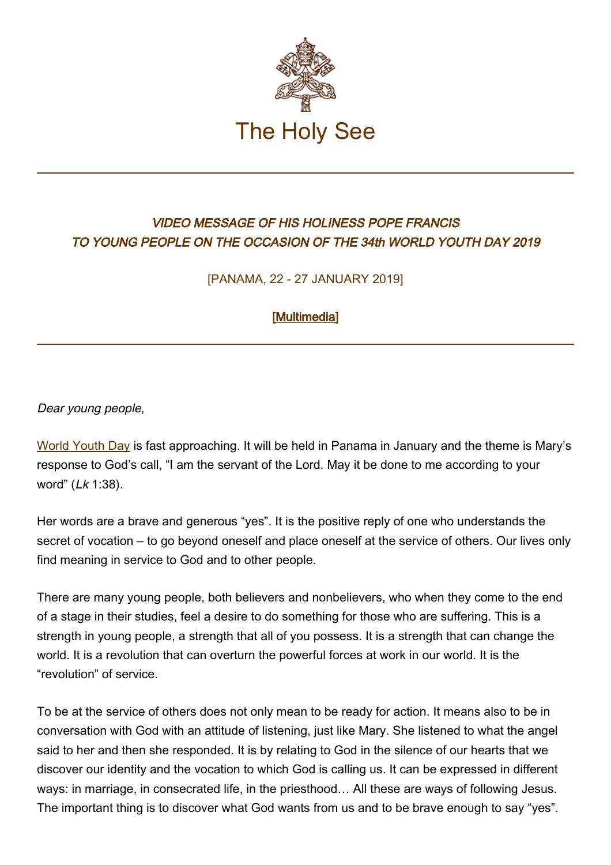

## VIDEO MESSAGE OF HIS HOLINESS POPE FRANCIS TO YOUNG PEOPLE ON THE OCCASION OF THE 34th WORLD YOUTH DAY 2019

[PANAMA, 22 - 27 JANUARY 2019]

## [\[Multimedia](http://w2.vatican.va/content/francesco/en/events/event.dir.html/content/vaticanevents/en/2018/11/21/videomessaggio-gmg-panama.html)]

Dear young people,

[World Youth Day](http://www.vatican.va/gmg/documents/gmg_chronicle-wyd_20020325_en.html) is fast approaching. It will be held in Panama in January and the theme is Mary's response to God's call, "I am the servant of the Lord. May it be done to me according to your word" (Lk 1:38).

Her words are a brave and generous "yes". It is the positive reply of one who understands the secret of vocation – to go beyond oneself and place oneself at the service of others. Our lives only find meaning in service to God and to other people.

There are many young people, both believers and nonbelievers, who when they come to the end of a stage in their studies, feel a desire to do something for those who are suffering. This is a strength in young people, a strength that all of you possess. It is a strength that can change the world. It is a revolution that can overturn the powerful forces at work in our world. It is the "revolution" of service.

To be at the service of others does not only mean to be ready for action. It means also to be in conversation with God with an attitude of listening, just like Mary. She listened to what the angel said to her and then she responded. It is by relating to God in the silence of our hearts that we discover our identity and the vocation to which God is calling us. It can be expressed in different ways: in marriage, in consecrated life, in the priesthood… All these are ways of following Jesus. The important thing is to discover what God wants from us and to be brave enough to say "yes".